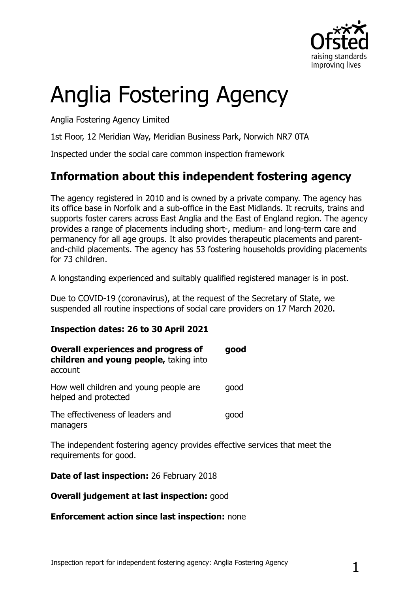

# Anglia Fostering Agency

Anglia Fostering Agency Limited

1st Floor, 12 Meridian Way, Meridian Business Park, Norwich NR7 0TA

Inspected under the social care common inspection framework

## **Information about this independent fostering agency**

The agency registered in 2010 and is owned by a private company. The agency has its office base in Norfolk and a sub-office in the East Midlands. It recruits, trains and supports foster carers across East Anglia and the East of England region. The agency provides a range of placements including short-, medium- and long-term care and permanency for all age groups. It also provides therapeutic placements and parentand-child placements. The agency has 53 fostering households providing placements for 73 children.

A longstanding experienced and suitably qualified registered manager is in post.

Due to COVID-19 (coronavirus), at the request of the Secretary of State, we suspended all routine inspections of social care providers on 17 March 2020.

#### **Inspection dates: 26 to 30 April 2021**

| <b>Overall experiences and progress of</b><br>children and young people, taking into<br>account | good |
|-------------------------------------------------------------------------------------------------|------|
| How well children and young people are<br>helped and protected                                  | good |
| The effectiveness of leaders and<br>managers                                                    | good |

The independent fostering agency provides effective services that meet the requirements for good.

**Date of last inspection:** 26 February 2018

#### **Overall judgement at last inspection:**  $qood$

#### **Enforcement action since last inspection:** none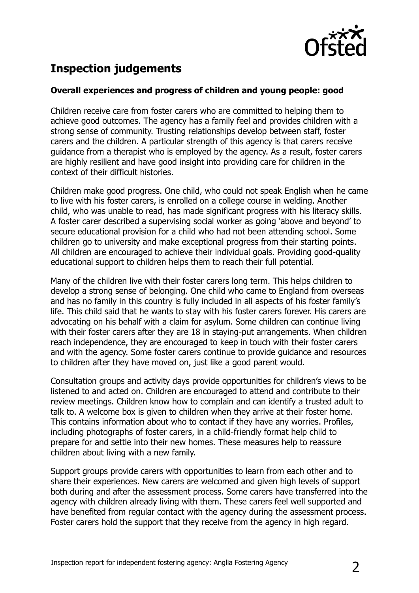

# **Inspection judgements**

#### **Overall experiences and progress of children and young people: good**

Children receive care from foster carers who are committed to helping them to achieve good outcomes. The agency has a family feel and provides children with a strong sense of community. Trusting relationships develop between staff, foster carers and the children. A particular strength of this agency is that carers receive guidance from a therapist who is employed by the agency. As a result, foster carers are highly resilient and have good insight into providing care for children in the context of their difficult histories.

Children make good progress. One child, who could not speak English when he came to live with his foster carers, is enrolled on a college course in welding. Another child, who was unable to read, has made significant progress with his literacy skills. A foster carer described a supervising social worker as going 'above and beyond' to secure educational provision for a child who had not been attending school. Some children go to university and make exceptional progress from their starting points. All children are encouraged to achieve their individual goals. Providing good-quality educational support to children helps them to reach their full potential.

Many of the children live with their foster carers long term. This helps children to develop a strong sense of belonging. One child who came to England from overseas and has no family in this country is fully included in all aspects of his foster family's life. This child said that he wants to stay with his foster carers forever. His carers are advocating on his behalf with a claim for asylum. Some children can continue living with their foster carers after they are 18 in staying-put arrangements. When children reach independence, they are encouraged to keep in touch with their foster carers and with the agency. Some foster carers continue to provide guidance and resources to children after they have moved on, just like a good parent would.

Consultation groups and activity days provide opportunities for children's views to be listened to and acted on. Children are encouraged to attend and contribute to their review meetings. Children know how to complain and can identify a trusted adult to talk to. A welcome box is given to children when they arrive at their foster home. This contains information about who to contact if they have any worries. Profiles, including photographs of foster carers, in a child-friendly format help child to prepare for and settle into their new homes. These measures help to reassure children about living with a new family.

Support groups provide carers with opportunities to learn from each other and to share their experiences. New carers are welcomed and given high levels of support both during and after the assessment process. Some carers have transferred into the agency with children already living with them. These carers feel well supported and have benefited from regular contact with the agency during the assessment process. Foster carers hold the support that they receive from the agency in high regard.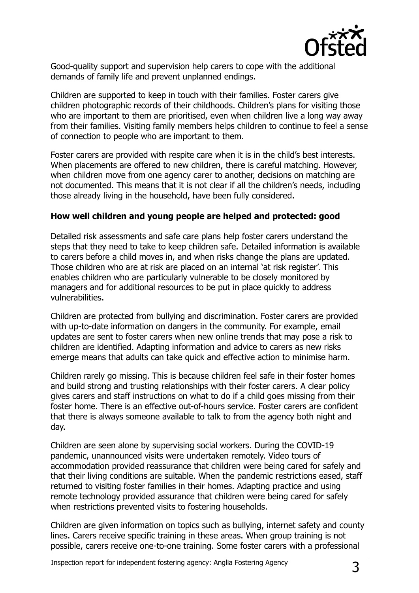

Good-quality support and supervision help carers to cope with the additional demands of family life and prevent unplanned endings.

Children are supported to keep in touch with their families. Foster carers give children photographic records of their childhoods. Children's plans for visiting those who are important to them are prioritised, even when children live a long way away from their families. Visiting family members helps children to continue to feel a sense of connection to people who are important to them.

Foster carers are provided with respite care when it is in the child's best interests. When placements are offered to new children, there is careful matching. However, when children move from one agency carer to another, decisions on matching are not documented. This means that it is not clear if all the children's needs, including those already living in the household, have been fully considered.

#### **How well children and young people are helped and protected: good**

Detailed risk assessments and safe care plans help foster carers understand the steps that they need to take to keep children safe. Detailed information is available to carers before a child moves in, and when risks change the plans are updated. Those children who are at risk are placed on an internal 'at risk register'. This enables children who are particularly vulnerable to be closely monitored by managers and for additional resources to be put in place quickly to address vulnerabilities.

Children are protected from bullying and discrimination. Foster carers are provided with up-to-date information on dangers in the community. For example, email updates are sent to foster carers when new online trends that may pose a risk to children are identified. Adapting information and advice to carers as new risks emerge means that adults can take quick and effective action to minimise harm.

Children rarely go missing. This is because children feel safe in their foster homes and build strong and trusting relationships with their foster carers. A clear policy gives carers and staff instructions on what to do if a child goes missing from their foster home. There is an effective out-of-hours service. Foster carers are confident that there is always someone available to talk to from the agency both night and day.

Children are seen alone by supervising social workers. During the COVID-19 pandemic, unannounced visits were undertaken remotely. Video tours of accommodation provided reassurance that children were being cared for safely and that their living conditions are suitable. When the pandemic restrictions eased, staff returned to visiting foster families in their homes. Adapting practice and using remote technology provided assurance that children were being cared for safely when restrictions prevented visits to fostering households.

Children are given information on topics such as bullying, internet safety and county lines. Carers receive specific training in these areas. When group training is not possible, carers receive one-to-one training. Some foster carers with a professional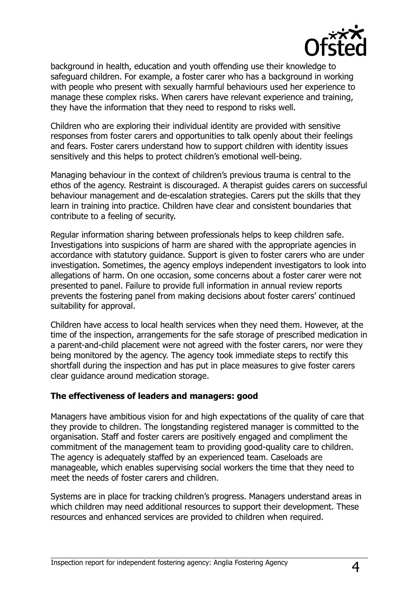

background in health, education and youth offending use their knowledge to safeguard children. For example, a foster carer who has a background in working with people who present with sexually harmful behaviours used her experience to manage these complex risks. When carers have relevant experience and training, they have the information that they need to respond to risks well.

Children who are exploring their individual identity are provided with sensitive responses from foster carers and opportunities to talk openly about their feelings and fears. Foster carers understand how to support children with identity issues sensitively and this helps to protect children's emotional well-being.

Managing behaviour in the context of children's previous trauma is central to the ethos of the agency. Restraint is discouraged. A therapist guides carers on successful behaviour management and de-escalation strategies. Carers put the skills that they learn in training into practice. Children have clear and consistent boundaries that contribute to a feeling of security.

Regular information sharing between professionals helps to keep children safe. Investigations into suspicions of harm are shared with the appropriate agencies in accordance with statutory guidance. Support is given to foster carers who are under investigation. Sometimes, the agency employs independent investigators to look into allegations of harm. On one occasion, some concerns about a foster carer were not presented to panel. Failure to provide full information in annual review reports prevents the fostering panel from making decisions about foster carers' continued suitability for approval.

Children have access to local health services when they need them. However, at the time of the inspection, arrangements for the safe storage of prescribed medication in a parent-and-child placement were not agreed with the foster carers, nor were they being monitored by the agency. The agency took immediate steps to rectify this shortfall during the inspection and has put in place measures to give foster carers clear guidance around medication storage.

#### **The effectiveness of leaders and managers: good**

Managers have ambitious vision for and high expectations of the quality of care that they provide to children. The longstanding registered manager is committed to the organisation. Staff and foster carers are positively engaged and compliment the commitment of the management team to providing good-quality care to children. The agency is adequately staffed by an experienced team. Caseloads are manageable, which enables supervising social workers the time that they need to meet the needs of foster carers and children.

Systems are in place for tracking children's progress. Managers understand areas in which children may need additional resources to support their development. These resources and enhanced services are provided to children when required.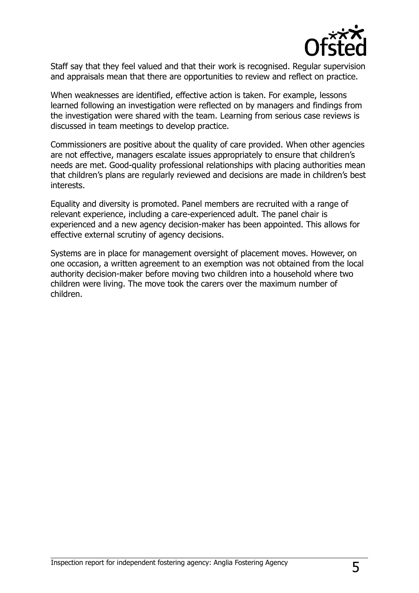

Staff say that they feel valued and that their work is recognised. Regular supervision and appraisals mean that there are opportunities to review and reflect on practice.

When weaknesses are identified, effective action is taken. For example, lessons learned following an investigation were reflected on by managers and findings from the investigation were shared with the team. Learning from serious case reviews is discussed in team meetings to develop practice.

Commissioners are positive about the quality of care provided. When other agencies are not effective, managers escalate issues appropriately to ensure that children's needs are met. Good-quality professional relationships with placing authorities mean that children's plans are regularly reviewed and decisions are made in children's best interests.

Equality and diversity is promoted. Panel members are recruited with a range of relevant experience, including a care-experienced adult. The panel chair is experienced and a new agency decision-maker has been appointed. This allows for effective external scrutiny of agency decisions.

Systems are in place for management oversight of placement moves. However, on one occasion, a written agreement to an exemption was not obtained from the local authority decision-maker before moving two children into a household where two children were living. The move took the carers over the maximum number of children.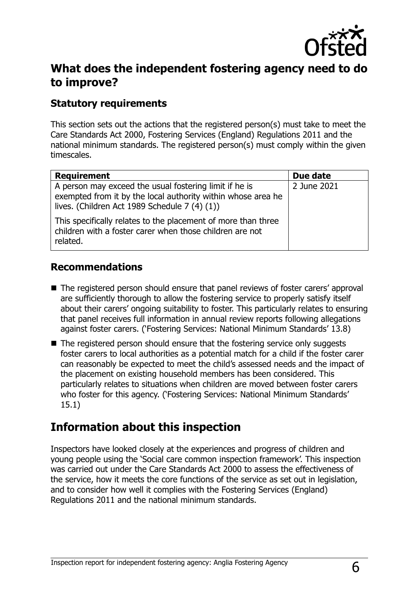

## **What does the independent fostering agency need to do to improve?**

## **Statutory requirements**

This section sets out the actions that the registered person(s) must take to meet the Care Standards Act 2000, Fostering Services (England) Regulations 2011 and the national minimum standards. The registered person(s) must comply within the given timescales.

| <b>Requirement</b>                                                                                                                                                      | Due date    |
|-------------------------------------------------------------------------------------------------------------------------------------------------------------------------|-------------|
| A person may exceed the usual fostering limit if he is<br>exempted from it by the local authority within whose area he<br>lives. (Children Act 1989 Schedule 7 (4) (1)) | 2 June 2021 |
| This specifically relates to the placement of more than three<br>children with a foster carer when those children are not<br>related.                                   |             |

### **Recommendations**

- The registered person should ensure that panel reviews of foster carers' approval are sufficiently thorough to allow the fostering service to properly satisfy itself about their carers' ongoing suitability to foster. This particularly relates to ensuring that panel receives full information in annual review reports following allegations against foster carers. ('Fostering Services: National Minimum Standards' 13.8)
- The registered person should ensure that the fostering service only suggests foster carers to local authorities as a potential match for a child if the foster carer can reasonably be expected to meet the child's assessed needs and the impact of the placement on existing household members has been considered. This particularly relates to situations when children are moved between foster carers who foster for this agency. ('Fostering Services: National Minimum Standards' 15.1)

# **Information about this inspection**

Inspectors have looked closely at the experiences and progress of children and young people using the 'Social care common inspection framework'. This inspection was carried out under the Care Standards Act 2000 to assess the effectiveness of the service, how it meets the core functions of the service as set out in legislation, and to consider how well it complies with the Fostering Services (England) Regulations 2011 and the national minimum standards.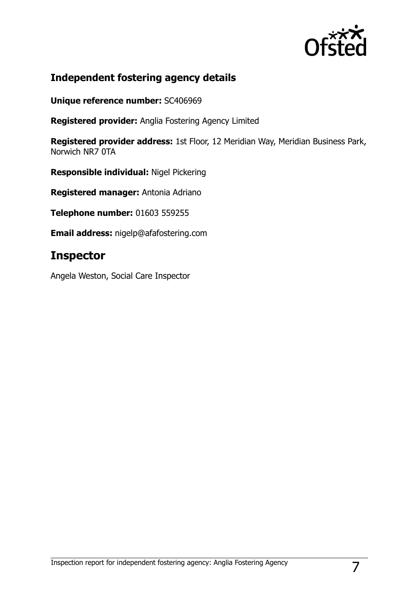

## **Independent fostering agency details**

**Unique reference number:** SC406969

**Registered provider:** Anglia Fostering Agency Limited

**Registered provider address:** 1st Floor, 12 Meridian Way, Meridian Business Park, Norwich NR7 0TA

**Responsible individual:** Nigel Pickering

**Registered manager:** Antonia Adriano

**Telephone number:** 01603 559255

**Email address:** nigelp@afafostering.com

# **Inspector**

Angela Weston, Social Care Inspector